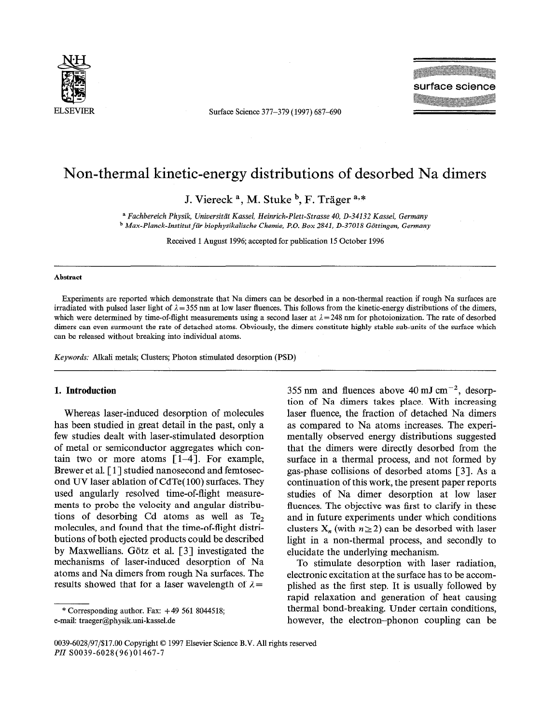

ELSEVIER Surface Science 377-379 (1997) 687-690

**The Contract of Second** surface science

# Non-thermal kinetic-energy distributions of desorbed Na dimers

J. Viereck<sup>a</sup>, M. Stuke<sup>b</sup>, F. Träger<sup>a,\*</sup>

a *Fachbereich Physik, Universitdt Kassel, Heinrich-Plett-Strasse 40, D-34132 Kassel, Germany*  <sup>b</sup> Max-Planck-Institut für biophysikalische Chemie, P.O. Box 2841, D-37018 Göttingen, Germany

Received 1 August 1996; accepted for publication 15 October 1996

#### **Abstract**

Experiments are reported which demonstrate that Na dimers can be desorbed in a non-thermal reaction if rough Na surfaces are irradiated with pulsed laser light of  $\lambda = 355$  nm at low laser fluences. This follows from the kinetic-energy distributions of the dimers, which were determined by time-of-flight measurements using a second laser at  $\lambda = 248$  nm for photoionization. The rate of desorbed dimers can even surmount the rate of detached atoms. Obviously, the dimers constitute highly stable sub-units of the surface which can be released without breaking into individual atoms.

*Keywords:* Alkali metals; Clusters; Photon stimulated desorption (PSD)

### **1. Introduction**

Whereas laser-induced desorption of molecules has been studied in great detail in the past, only a few studies dealt with laser-stimulated desorption of metal or semiconductor aggregates which contain two or more atoms  $\lceil 1-4 \rceil$ . For example, Brewer et al. [1] studied nanosecond and femtosecond UV laser ablation of CdTe( 100) surfaces. They used angularly resolved time-of-flight measurements to probe the velocity and angular distributions of desorbing Cd atoms as well as Te, molecules, and found that the time-of-flight distributions of both ejected products could be described by Maxwellians. Götz et al.  $\lceil 3 \rceil$  investigated the mechanisms of laser-induced desorption of Na atoms and Na dimers from rough Na surfaces. The results showed that for a laser wavelength of  $\lambda =$ 

\* Corresponding author. Fax:  $+49\,561\,8044518$ ; e-mail: traeger@physik.uni-kassel.de

355 nm and fluences above 40 mJ cm<sup> $-2$ </sup>, desorption of Na dimers takes place. With increasing laser fluence, the fraction of detached Na dimers as compared to Na atoms increases. The experimentally observed energy distributions suggested that the dimers were directly desorbed from the surface in a thermal process, and not formed by gas-phase collisions of desorbed atoms [3]. As a continuation of this work, the present paper reports studies of Na dimer desorption at low laser fluences. The objective was first to clarify in these and in future experiments under which conditions clusters  $X_n$  (with  $n \ge 2$ ) can be desorbed with laser light in a non-thermal process, and secondly to elucidate the underlying mechanism.

To stimulate desorption with laser radiation, electronic excitation at the surface has to be accomplished as the first step. It is usually followed by rapid relaxation and generation of heat causing thermal bond-breaking. Under certain conditions, however, the electron-phonon coupling can be

<sup>0039-6028/97/%17.00</sup> Copyright 0 1997 Elsevier Science B.V. All rights reserved *PII* SOO39-6028(96)01467-7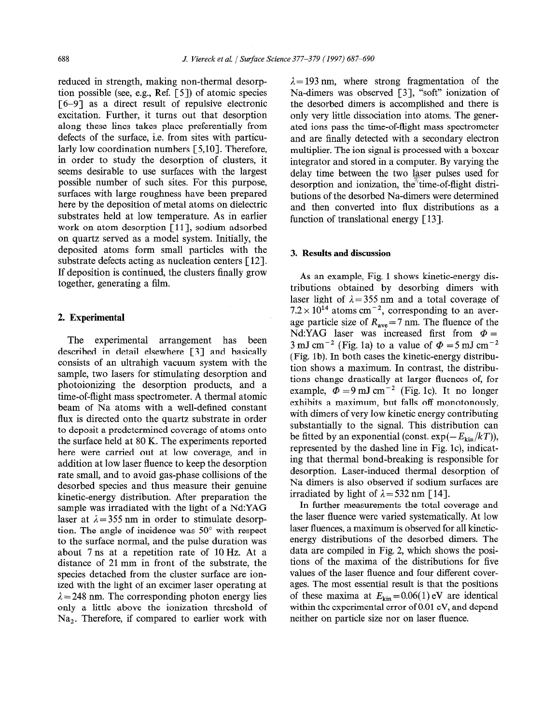reduced in strength, making non-thermal desorption possible (see, e.g., Ref. [S]) of atomic species [6-91 as a direct result of repulsive electronic excitation. Further, it turns out that desorption along these lines takes place preferentially from defects of the surface, i.e. from sites with particularly low coordination numbers [5,10]. Therefore, in order to study the desorption of clusters, it seems desirable to use surfaces with the largest possible number of such sites. For this purpose, surfaces with large roughness have been prepared here by the deposition of metal atoms on dielectric substrates held at low temperature. As in earlier work on atom desorption [11], sodium adsorbed on quartz served as a model system. Initially, the deposited atoms form small particles with the substrate defects acting as nucleation centers  $\lceil 12 \rceil$ . If deposition is continued, the clusters finally grow together, generating a film.

## 2. **Experimental**

The experimental arrangement has been described in detail elsewhere [3] and basically consists of an ultrahigh vacuum system with the sample, two lasers for stimulating desorption and photoionizing the desorption products, and a time-of-flight mass spectrometer. A thermal atomic beam of Na atoms with a well-defined constant flux is directed onto the quartz substrate in order to deposit a predetermined coverage of atoms onto the surface held at 80 K. The experiments reported here were carried out at low coverage, and in addition at low laser fluence to keep the desorption rate small, and to avoid gas-phase collisions of the desorbed species and thus measure their genuine kinetic-energy distribution. After preparation the sample was irradiated with the light of a Nd:YAG laser at  $\lambda = 355$  nm in order to stimulate desorption. The angle of incidence was  $50^{\circ}$  with respect to the surface normal, and the pulse duration was about 7 ns at a repetition rate of 10 Hz. At a distance of 21 mm in front of the substrate, the species detached from the cluster surface are ionized with the light of an excimer laser operating at  $\lambda = 248$  nm. The corresponding photon energy lies only a little above the ionization threshold of Na,. Therefore, if compared to earlier work with  $\lambda = 193$  nm, where strong fragmentation of the Na-dimers was observed [3], "soft" ionization of the desorbed dimers is accomplished and there is only very little dissociation into atoms. The generated ions pass the time-of-flight mass spectrometer and are finally detected with a secondary electron multiplier. The ion signal is processed with a boxcar integrator and stored in a computer. By varying the delay time between the two laser pulses used for desorption and ionization, the time-of-flight distributions of the desorbed Na-dimers were determined and then converted into flux distributions as a function of translational energy [ 131.

## 3. **Results and discussion**

As an example, Fig. 1 shows kinetic-energy distributions obtained by desorbing dimers with laser light of  $\lambda = 355$  nm and a total coverage of  $7.2 \times 10^{14}$  atoms cm<sup>-2</sup>, corresponding to an average particle size of  $R_{\text{ave}} = 7 \text{ nm}$ . The fluence of the Nd:YAG laser was increased first from  $\Phi =$ 3 mJ cm<sup>-2</sup> (Fig. 1a) to a value of  $\Phi = 5$  mJ cm<sup>-2</sup> (Fig. lb). In both cases the kinetic-energy distribution shows a maximum. In contrast, the distributions change drastically at larger fluences of, for example,  $\Phi = 9 \text{ mJ cm}^{-2}$  (Fig. 1c). It no longer exhibits a maximum, but falls off monotonously, with dimers of very low kinetic energy contributing substantially to the signal. This distribution can be fitted by an exponential (const.  $\exp(-E_{\text{kin}}/kT)$ ), represented by the dashed line in Fig. lc), indicating that thermal bond-breaking is responsible for desorption. Laser-induced thermal desorption of Na dimers is also observed if sodium surfaces are irradiated by light of  $\lambda = 532$  nm [14].

In further measurements the total coverage and the laser fluence were varied systematically. At low laser fluences, a maximum is observed for all kineticenergy distributions of the desorbed dimers. The data are compiled in Fig. 2, which shows the positions of the maxima of the distributions for five values of the laser fluence and four different coverages. The most essential result is that the positions of these maxima at  $E_{kin} = 0.06(1)$  eV are identical within the experimental error of 0.01 eV, and depend neither on particle size nor on laser fluence.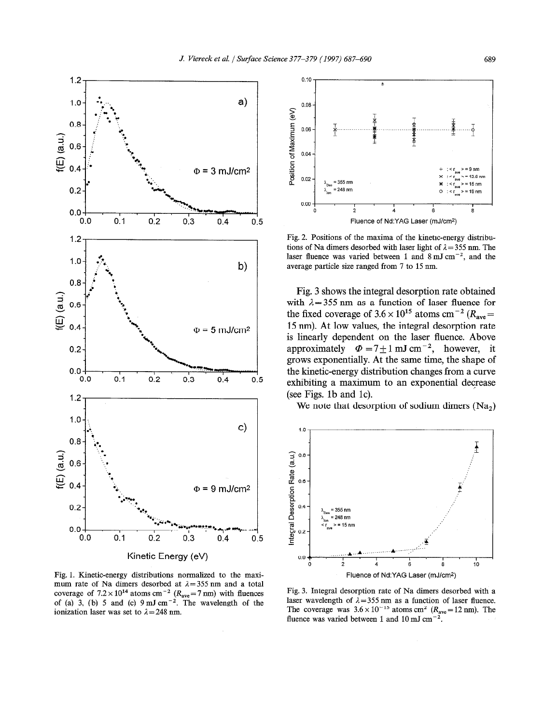

Fig. 1. Kinetic-energy distributions normalized to the maximum rate of Na dimers desorbed at  $\lambda = 355$  nm and a total coverage of  $7.2 \times 10^{14}$  atoms cm<sup>-2</sup> ( $R_{\text{ave}} = 7 \text{ nm}$ ) with fluence of (a) 3, (b) 5 and (c)  $9 \text{ mJ cm}^{-2}$ . The wavelength of the ionization laser was set to  $\lambda = 248$  nm.



Fig. 2. Positions of the maxima of the kinetic-energy distributions of Na dimers desorbed with laser light of  $\lambda = 355$  nm. The laser fluence was varied between 1 and 8 mJ cm<sup>-2</sup>, and the average particle size ranged from 7 to 15 mn.

Fig. 3 shows the integral desorption rate obtained with  $\lambda = 355$  nm as a function of laser fluence for the fixed coverage of  $3.6 \times 10^{15}$  atoms cm<sup>-2</sup> ( $R_{\text{ave}}=$ 15 nm). At low values, the integral desorption rate is linearly dependent on the laser fluence. Above approximately  $\Phi = 7 \pm 1 \text{ mJ cm}^{-2}$ , however, it grows exponentially. At the same time, the shape of the kinetic-energy distribution changes from a curve exhibiting a maximum to an exponential decrease (see Figs. lb and lc).

We note that desorption of sodium dimers (Na<sub>2</sub>)



Fig. 3. Integral desorption rate of Na dimers desorbed with a laser wavelength of  $\lambda = 355$  nm as a function of laser fluence. The coverage was  $3.6 \times 10^{-15}$  atoms cm<sup>2</sup> ( $R_{ave}$ =12 nm). The fluence was varied between 1 and 10 mJ cm<sup> $-2$ </sup>.